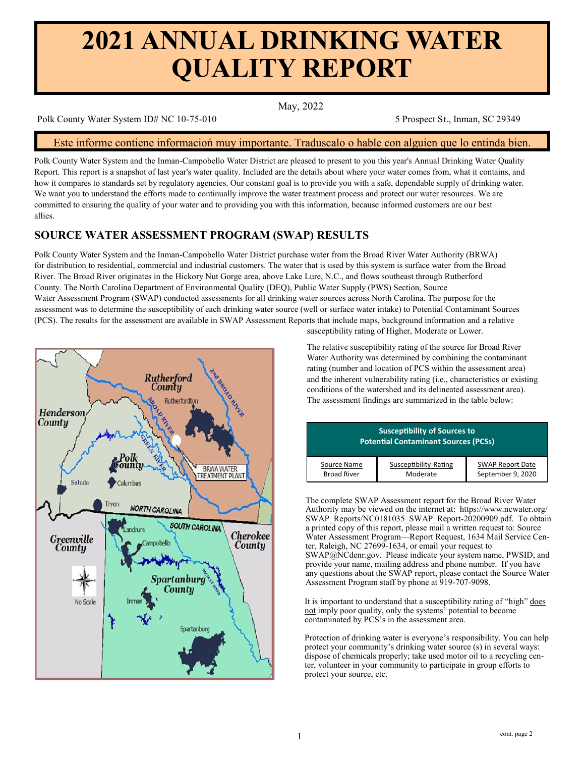# **2021 ANNUAL DRINKING WATER QUALITY REPORT**

May, 2022

Polk County Water System ID# NC 10-75-010 5 Prospect St., Inman, SC 29349

## Este informe contiene informacioń muy importante. Traduscalo o hable con alguien que lo entinda bien.

Polk County Water System and the Inman-Campobello Water District are pleased to present to you this year's Annual Drinking Water Quality Report. This report is a snapshot of last year's water quality. Included are the details about where your water comes from, what it contains, and how it compares to standards set by regulatory agencies. Our constant goal is to provide you with a safe, dependable supply of drinking water. We want you to understand the efforts made to continually improve the water treatment process and protect our water resources. We are committed to ensuring the quality of your water and to providing you with this information, because informed customers are our best allies.

# **SOURCE WATER ASSESSMENT PROGRAM (SWAP) RESULTS**

Polk County Water System and the Inman-Campobello Water District purchase water from the Broad River Water Authority (BRWA) for distribution to residential, commercial and industrial customers. The water that is used by this system is surface water from the Broad River. The Broad River originates in the Hickory Nut Gorge area, above Lake Lure, N.C., and flows southeast through Rutherford County. The North Carolina Department of Environmental Quality (DEQ), Public Water Supply (PWS) Section, Source Water Assessment Program (SWAP) conducted assessments for all drinking water sources across North Carolina. The purpose for the assessment was to determine the susceptibility of each drinking water source (well or surface water intake) to Potential Contaminant Sources (PCS). The results for the assessment are available in SWAP Assessment Reports that include maps, background information and a relative



susceptibility rating of Higher, Moderate or Lower.

 The relative susceptibility rating of the source for Broad River Water Authority was determined by combining the contaminant rating (number and location of PCS within the assessment area) and the inherent vulnerability rating (i.e., characteristics or existing conditions of the watershed and its delineated assessment area). The assessment findings are summarized in the table below:

| <b>Susceptibility of Sources to</b><br><b>Potential Contaminant Sources (PCSs)</b> |                       |                         |  |  |  |  |  |
|------------------------------------------------------------------------------------|-----------------------|-------------------------|--|--|--|--|--|
| Source Name                                                                        | Susceptibility Rating | <b>SWAP Report Date</b> |  |  |  |  |  |
| <b>Broad River</b>                                                                 | Moderate              | September 9, 2020       |  |  |  |  |  |

The complete SWAP Assessment report for the Broad River Water Authority may be viewed on the internet at: https://www.ncwater.org/ SWAP\_Reports/NC0181035\_SWAP\_Report-20200909.pdf. To obtain a printed copy of this report, please mail a written request to: Source Water Assessment Program—Report Request, 1634 Mail Service Center, Raleigh, NC 27699-1634, or email your request to SWAP@NCdenr.gov. Please indicate your system name, PWSID, and provide your name, mailing address and phone number. If you have any questions about the SWAP report, please contact the Source Water Assessment Program staff by phone at 919-707-9098.

It is important to understand that a susceptibility rating of "high" does not imply poor quality, only the systems<sup>5</sup> potential to become contaminated by PCS's in the assessment area.

Protection of drinking water is everyone's responsibility. You can help protect your community's drinking water source (s) in several ways: dispose of chemicals properly; take used motor oil to a recycling center, volunteer in your community to participate in group efforts to protect your source, etc.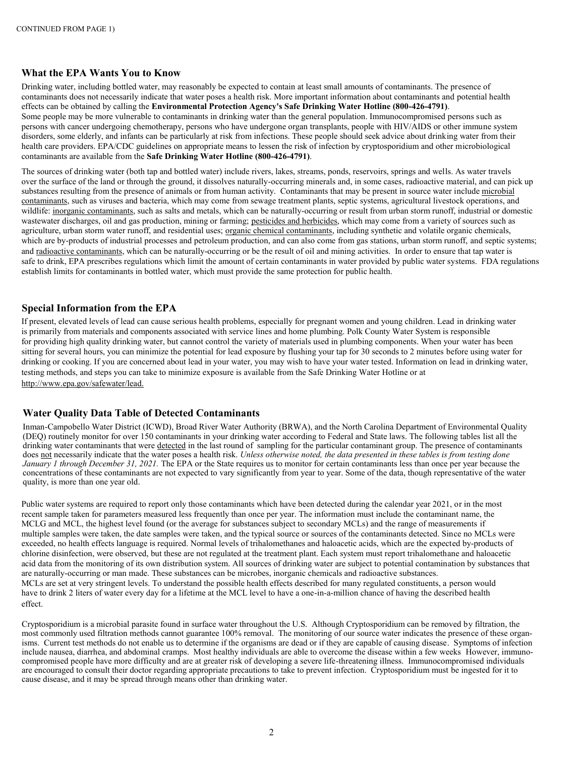## **What the EPA Wants You to Know**

Drinking water, including bottled water, may reasonably be expected to contain at least small amounts of contaminants. The presence of contaminants does not necessarily indicate that water poses a health risk. More important information about contaminants and potential health effects can be obtained by calling the **Environmental Protection Agency's Safe Drinking Water Hotline (800-426-4791)**. Some people may be more vulnerable to contaminants in drinking water than the general population. Immunocompromised persons such as persons with cancer undergoing chemotherapy, persons who have undergone organ transplants, people with HIV/AIDS or other immune system disorders, some elderly, and infants can be particularly at risk from infections. These people should seek advice about drinking water from their health care providers. EPA/CDC guidelines on appropriate means to lessen the risk of infection by cryptosporidium and other microbiological contaminants are available from the **Safe Drinking Water Hotline (800-426-4791)**.

The sources of drinking water (both tap and bottled water) include rivers, lakes, streams, ponds, reservoirs, springs and wells. As water travels over the surface of the land or through the ground, it dissolves naturally-occurring minerals and, in some cases, radioactive material, and can pick up substances resulting from the presence of animals or from human activity. Contaminants that may be present in source water include microbial contaminants, such as viruses and bacteria, which may come from sewage treatment plants, septic systems, agricultural livestock operations, and wildlife: inorganic contaminants, such as salts and metals, which can be naturally-occurring or result from urban storm runoff, industrial or domestic wastewater discharges, oil and gas production, mining or farming; pesticides and herbicides, which may come from a variety of sources such as agriculture, urban storm water runoff, and residential uses; organic chemical contaminants, including synthetic and volatile organic chemicals, which are by-products of industrial processes and petroleum production, and can also come from gas stations, urban storm runoff, and septic systems; and radioactive contaminants, which can be naturally-occurring or be the result of oil and mining activities. In order to ensure that tap water is safe to drink, EPA prescribes regulations which limit the amount of certain contaminants in water provided by public water systems. FDA regulations establish limits for contaminants in bottled water, which must provide the same protection for public health.

## **Special Information from the EPA**

If present, elevated levels of lead can cause serious health problems, especially for pregnant women and young children. Lead in drinking water is primarily from materials and components associated with service lines and home plumbing. Polk County Water System is responsible for providing high quality drinking water, but cannot control the variety of materials used in plumbing components. When your water has been sitting for several hours, you can minimize the potential for lead exposure by flushing your tap for 30 seconds to 2 minutes before using water for drinking or cooking. If you are concerned about lead in your water, you may wish to have your water tested. Information on lead in drinking water, testing methods, and steps you can take to minimize exposure is available from the Safe Drinking Water Hotline or at <http://www.epa.gov/safewater/lead.>

### **Water Quality Data Table of Detected Contaminants**

Inman-Campobello Water District (ICWD), Broad River Water Authority (BRWA), and the North Carolina Department of Environmental Quality (DEQ) routinely monitor for over 150 contaminants in your drinking water according to Federal and State laws. The following tables list all the drinking water contaminants that were detected in the last round of sampling for the particular contaminant group. The presence of contaminants does not necessarily indicate that the water poses a health risk. *Unless otherwise noted, the data presented in these tables is from testing done January 1 through December 31, 2021.* The EPA or the State requires us to monitor for certain contaminants less than once per year because the concentrations of these contaminants are not expected to vary significantly from year to year. Some of the data, though representative of the water quality, is more than one year old.

Public water systems are required to report only those contaminants which have been detected during the calendar year 2021, or in the most recent sample taken for parameters measured less frequently than once per year. The information must include the contaminant name, the MCLG and MCL, the highest level found (or the average for substances subject to secondary MCLs) and the range of measurements if multiple samples were taken, the date samples were taken, and the typical source or sources of the contaminants detected. Since no MCLs were exceeded, no health effects language is required. Normal levels of trihalomethanes and haloacetic acids, which are the expected by-products of chlorine disinfection, were observed, but these are not regulated at the treatment plant. Each system must report trihalomethane and haloacetic acid data from the monitoring of its own distribution system. All sources of drinking water are subject to potential contamination by substances that are naturally-occurring or man made. These substances can be microbes, inorganic chemicals and radioactive substances. MCLs are set at very stringent levels. To understand the possible health effects described for many regulated constituents, a person would have to drink 2 liters of water every day for a lifetime at the MCL level to have a one-in-a-million chance of having the described health effect.

Cryptosporidium is a microbial parasite found in surface water throughout the U.S. Although Cryptosporidium can be removed by filtration, the most commonly used filtration methods cannot guarantee 100% removal. The monitoring of our source water indicates the presence of these organisms. Current test methods do not enable us to determine if the organisms are dead or if they are capable of causing disease. Symptoms of infection include nausea, diarrhea, and abdominal cramps. Most healthy individuals are able to overcome the disease within a few weeks However, immunocompromised people have more difficulty and are at greater risk of developing a severe life-threatening illness. Immunocompromised individuals are encouraged to consult their doctor regarding appropriate precautions to take to prevent infection. Cryptosporidium must be ingested for it to cause disease, and it may be spread through means other than drinking water.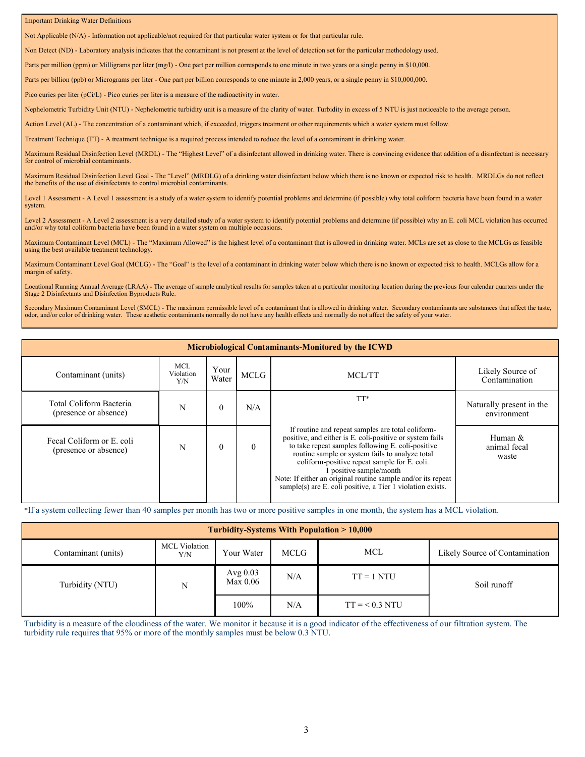#### Important Drinking Water Definitions

Not Applicable (N/A) - Information not applicable/not required for that particular water system or for that particular rule.

Non Detect (ND) - Laboratory analysis indicates that the contaminant is not present at the level of detection set for the particular methodology used.

Parts per million (ppm) or Milligrams per liter (mg/l) - One part per million corresponds to one minute in two years or a single penny in \$10,000.

Parts per billion (ppb) or Micrograms per liter - One part per billion corresponds to one minute in 2,000 years, or a single penny in \$10,000,000.

Pico curies per liter (pCi/L) - Pico curies per liter is a measure of the radioactivity in water.

Nephelometric Turbidity Unit (NTU) - Nephelometric turbidity unit is a measure of the clarity of water. Turbidity in excess of 5 NTU is just noticeable to the average person.

Action Level (AL) - The concentration of a contaminant which, if exceeded, triggers treatment or other requirements which a water system must follow.

Treatment Technique (TT) - A treatment technique is a required process intended to reduce the level of a contaminant in drinking water.

Maximum Residual Disinfection Level (MRDL) - The "Highest Level" of a disinfectant allowed in drinking water. There is convincing evidence that addition of a disinfectant is necessary for control of microbial contaminants.

Maximum Residual Disinfection Level Goal - The "Level" (MRDLG) of a drinking water disinfectant below which there is no known or expected risk to health. MRDLGs do not reflect the benefits of the use of disinfectants to control microbial contaminants.

Level 1 Assessment - A Level 1 assessment is a study of a water system to identify potential problems and determine (if possible) why total coliform bacteria have been found in a water system.

Level 2 Assessment - A Level 2 assessment is a very detailed study of a water system to identify potential problems and determine (if possible) why an E. coli MCL violation has occurred and/or why total coliform bacteria have been found in a water system on multiple occasions.

Maximum Contaminant Level (MCL) - The "Maximum Allowed" is the highest level of a contaminant that is allowed in drinking water. MCLs are set as close to the MCLGs as feasible using the best available treatment technology.

Maximum Contaminant Level Goal (MCLG) - The "Goal" is the level of a contaminant in drinking water below which there is no known or expected risk to health. MCLGs allow for a margin of safety.

Locational Running Annual Average (LRAA) - The average of sample analytical results for samples taken at a particular monitoring location during the previous four calendar quarters under the Stage 2 Disinfectants and Disinfection Byproducts Rule.

Secondary Maximum Contaminant Level (SMCL) - The maximum permissible level of a contaminant that is allowed in drinking water. Secondary contaminants are substances that affect the taste, odor, and/or color of drinking water. These aesthetic contaminants normally do not have any health effects and normally do not affect the safety of your water.

#### **Microbiological Contaminants-Monitored by the ICWD**

| Contaminant (units)                                | <b>MCL</b><br>Violation<br>Y/N | Your<br>Water | <b>MCLG</b> | MCL/TT                                                                                                                                                                                                                                                                                                                                                                                                                         | Likely Source of<br>Contamination       |
|----------------------------------------------------|--------------------------------|---------------|-------------|--------------------------------------------------------------------------------------------------------------------------------------------------------------------------------------------------------------------------------------------------------------------------------------------------------------------------------------------------------------------------------------------------------------------------------|-----------------------------------------|
| Total Coliform Bacteria<br>(presence or absence)   | N                              |               | N/A         | TT*                                                                                                                                                                                                                                                                                                                                                                                                                            | Naturally present in the<br>environment |
| Fecal Coliform or E. coli<br>(presence or absence) | N                              |               | $\theta$    | If routine and repeat samples are total coliform-<br>positive, and either is E. coli-positive or system fails<br>to take repeat samples following E. coli-positive<br>routine sample or system fails to analyze total<br>coliform-positive repeat sample for E. coli.<br>I positive sample/month<br>Note: If either an original routine sample and/or its repeat<br>sample(s) are E. coli positive, a Tier 1 violation exists. | Human &<br>animal fecal<br>waste        |

\*If a system collecting fewer than 40 samples per month has two or more positive samples in one month, the system has a MCL violation.

#### Turbidity (NTU) N 100% N/A  $TT = 1 NTU$  $TT = < 0.3 NTU$ Soil runoff **Turbidity-Systems With Population > 10,000** Contaminant (units) MCL Violation Y/N Your Water MCLG MCL Likely Source of Contamination Avg 0.03  $Max 0.06$  N/A

Turbidity is a measure of the cloudiness of the water. We monitor it because it is a good indicator of the effectiveness of our filtration system. The turbidity rule requires that 95% or more of the monthly samples must be below 0.3 NTU.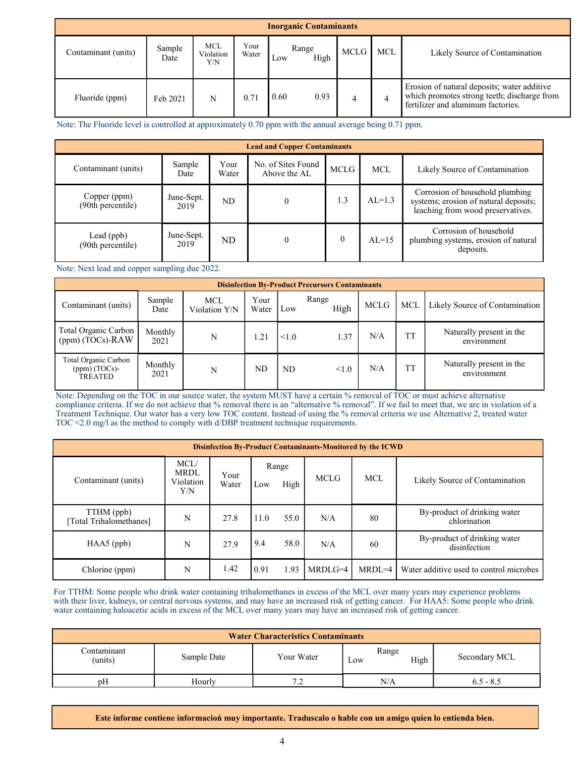| <b>Inorganic Contaminants</b> |                |                                |               |                      |      |     |                                                                                                                                  |  |  |
|-------------------------------|----------------|--------------------------------|---------------|----------------------|------|-----|----------------------------------------------------------------------------------------------------------------------------------|--|--|
| Contaminant (units)           | Sample<br>Date | <b>MCL</b><br>Violation<br>Y/N | Your<br>Water | Range<br>High<br>Low | MCLG | MCL | Likely Source of Contamination                                                                                                   |  |  |
| Fluoride (ppm)                | Feb 2021       | N                              | 0.71          | 0.60<br>0.93         | 4    | 4   | Erosion of natural deposits; water additive<br>which promotes strong teeth; discharge from<br>fertilizer and aluminum factories. |  |  |

Note: The Fluoride level is controlled at approximately 0.70 ppm with the annual average being 0.71 ppm.

| <b>Lead and Copper Contaminants</b> |                    |               |                                    |             |            |                                                                                                               |  |  |  |
|-------------------------------------|--------------------|---------------|------------------------------------|-------------|------------|---------------------------------------------------------------------------------------------------------------|--|--|--|
| Contaminant (units)                 | Sample<br>Date     | Your<br>Water | No. of Sites Found<br>Above the AL | <b>MCLG</b> | <b>MCL</b> | Likely Source of Contamination                                                                                |  |  |  |
| Copper (ppm)<br>(90th percentile)   | June-Sept.<br>2019 | ND            | $\theta$                           | 1.3         | $AL=1.3$   | Corrosion of household plumbing<br>systems; erosion of natural deposits;<br>leaching from wood preservatives. |  |  |  |
| Lead $(ppb)$<br>(90th percentile)   | June-Sept.<br>2019 | ND            |                                    | $\theta$    | $AL=15$    | Corrosion of household<br>plumbing systems, erosion of natural<br>deposits.                                   |  |  |  |

Note: Next lead and copper sampling due 2022.

| <b>Disinfection By-Product Precursors Contaminants</b>    |                 |                             |               |       |               |      |           |                                         |  |
|-----------------------------------------------------------|-----------------|-----------------------------|---------------|-------|---------------|------|-----------|-----------------------------------------|--|
| Contaminant (units)                                       | Sample<br>Date  | <b>MCL</b><br>Violation Y/N | Your<br>Water | Low   | Range<br>High | MCLG | MCL       | Likely Source of Contamination          |  |
| Total Organic Carbon<br>(ppm) (TOCs)-RAW                  | Monthly<br>2021 | N                           | 1.21          | < 1.0 | 1.37          | N/A  | <b>TT</b> | Naturally present in the<br>environment |  |
| Total Organic Carbon<br>$(ppm)$ (TOCs)-<br><b>TREATED</b> | Monthly<br>2021 | N                           | ND            | ND    | < 1.0         | N/A  | <b>TT</b> | Naturally present in the<br>environment |  |

Note: Depending on the TOC in our source water, the system MUST have a certain % removal of TOC or must achieve alternative compliance criteria. If we do not achieve that % removal there is an "alternative % removal". If we fail to meet that, we are in violation of a Treatment Technique. Our water has a very low TOC content. Instead of using the % removal criteria we use Alternative 2, treated water TOC <2.0 mg/l as the method to comply with d/DBP treatment technique requirements.

| <b>Disinfection By-Product Contaminants-Monitored by the ICWD</b> |                                         |               |      |               |             |            |                                              |  |  |
|-------------------------------------------------------------------|-----------------------------------------|---------------|------|---------------|-------------|------------|----------------------------------------------|--|--|
| Contaminant (units)                                               | MCL/<br><b>MRDL</b><br>Violation<br>Y/N | Your<br>Water | Low  | Range<br>High | <b>MCLG</b> | <b>MCL</b> | Likely Source of Contamination               |  |  |
| TTHM (ppb)<br>[Total Trihalomethanes]                             | N                                       | 27.8          | 11.0 | 55.0          | N/A         | 80         | By-product of drinking water<br>chlorination |  |  |
| $HAA5$ (ppb)                                                      | N                                       | 27.9          | 9.4  | 58.0          | N/A         | 60         | By-product of drinking water<br>disinfection |  |  |
| Chlorine (ppm)                                                    | N                                       | 1.42          | 0.91 | 1.93          | $MRDLG=4$   | $MRDL=4$   | Water additive used to control microbes      |  |  |

For TTHM: Some people who drink water containing trihalomethanes in excess of the MCL over many years may experience problems with their liver, kidneys, or central nervous systems, and may have an increased risk of getting cancer. For HAA5: Some people who drink water containing haloacetic acids in excess of the MCL over many years may have an increased risk of getting cancer.

| <b>Water Characteristics Contaminants</b> |             |            |                      |               |  |  |  |  |  |
|-------------------------------------------|-------------|------------|----------------------|---------------|--|--|--|--|--|
| Contaminant<br>(units)                    | Sample Date | Your Water | Range<br>High<br>Low | Secondary MCL |  |  |  |  |  |
| pΗ                                        | Hourly      | ے. ا       | N/A                  | $6.5 - 8.5$   |  |  |  |  |  |

**Este informe contiene informacioń muy importante. Traduscalo o hable con un amigo quien lo entienda bien.**